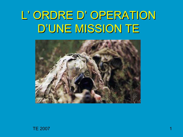# L' ORDRE D' OPERATION D'UNE MISSION TE



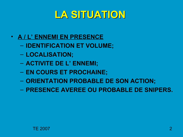### **LA SITUATION**

- **A / L' ENNEMI EN PRESENCE**
	- **IDENTIFICATION ET VOLUME;**
	- **LOCALISATION;**
	- **ACTIVITE DE L' ENNEMI;**
	- **EN COURS ET PROCHAINE;**
	- **ORIENTATION PROBABLE DE SON ACTION;**
	- **PRESENCE AVEREE OU PROBABLE DE SNIPERS.**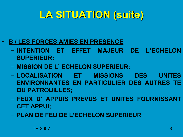- **B / LES FORCES AMIES EN PRESENCE**
	- **INTENTION ET EFFET MAJEUR DE L'ECHELON SUPERIEUR;**
	- **MISSION DE L' ECHELON SUPERIEUR;**
	- **LOCALISATION ET MISSIONS DES UNITES ENVIRONNANTES EN PARTICULIER DES AUTRES TE OU PATROUILLES;**
	- **FEUX D' APPUIS PREVUS ET UNITES FOURNISSANT CET APPUI;**
	- **PLAN DE FEU DE L'ECHELON SUPERIEUR**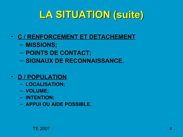- **C / RENFORCEMENT ET DETACHEMENT**
	- **MISSIONS;**
	- **POINTS DE CONTACT;**
	- **SIGNAUX DE RECONNAISSANCE.**

### • **D / POPULATION**

- **LOCALISATION;**
- **VOLUME;**
- **INTENTION;**
- **APPUI OU AIDE POSSIBLE.**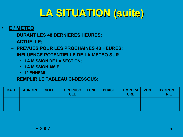- **E / METEO**
	- **DURANT LES 48 DERNIERES HEURES;**
	- **ACTUELLE;**
	- **PREVUES POUR LES PROCHAINES 48 HEURES;**
	- **INFLUENCE POTENTIELLE DE LA METEO SUR**
		- **LA MISSION DE LA SECTION;**
		- **LA MISSION AMIE;**
		- **L' ENNEMI.**
	- **REMPLIR LE TABLEAU CI-DESSOUS:**

| DATE | <b>AURORE</b> | <b>SOLEIL</b> | <b>CREPUSC   LUNE  </b><br>ULE <sub>1</sub> | <b>PHASE</b> | <b>TURE</b> | TEMPERA   VENT   HYGROME  <br><b>TRIE</b> |
|------|---------------|---------------|---------------------------------------------|--------------|-------------|-------------------------------------------|
|      |               |               |                                             |              |             |                                           |
|      |               |               |                                             |              |             |                                           |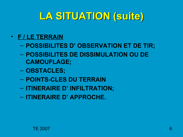- **F / LE TERRAIN**
	- **POSSIBILITES D' OBSERVATION ET DE TIR;**
	- **POSSIBILITES DE DISSIMULATION OU DE CAMOUFLAGE;**
	- **OBSTACLES;**
	- **POINTS-CLES DU TERRAIN**
	- **ITINERAIRE D' INFILTRATION;**
	- **ITINERAIRE D' APPROCHE.**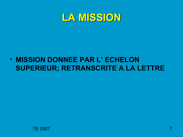### **LA MISSION**

### • **MISSION DONNEE PAR L' ECHELON SUPERIEUR; RETRANSCRITE A LA LETTRE**

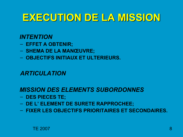### **EXECUTION DE LA MISSION**

### *INTENTION*

- **EFFET A OBTENIR;**
- **SHEMA DE LA MANŒUVRE;**
- **OBJECTIFS INITIAUX ET ULTERIEURS.**

### *ARTICULATION*

#### *MISSION DES ELEMENTS SUBORDONNES*

- **DES PIECES TE;**
- **DE L' ELEMENT DE SURETE RAPPROCHEE;**
- **FIXER LES OBJECTIFS PRIORITAIRES ET SECONDAIRES.**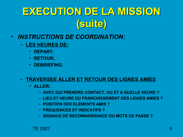- *INSTRUCTIONS DE COORDINATION:*
	- **LES HEURES DE:**
		- **DEPART;**
		- **RETOUR;**
		- **DEBRIEFING.**

#### – **TRAVERSEE ALLER ET RETOUR DES LIGNES AMIES**

- **ALLER:**
	- **AVEC QUI PRENDRE CONTACT, OU ET A QUELLE HEURE ?**
	- **LIEU ET HEURE DU FRANCHISSEMENT DES LIGNES AMIES ?**
	- **POSITION DES ELEMENTS AMIS ?**
	- **FREQUENCES ET INDICATIFS ?**
	- **SIGNAUX DE RECONNAISSANCE OU MOTS DE PASSE ?**

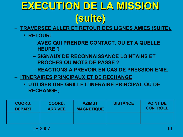- **TRAVERSEE ALLER ET RETOUR DES LIGNES AMIES (SUITE).**
	- **RETOUR:**
		- **AVEC QUI PRENDRE CONTACT, OU ET A QUELLE HEURE ?**
		- **SIGNAUX DE RECONNAISSANCE LOINTAINS ET PROCHES OU MOTS DE PASSE ?**
		- **REACTIONS A PREVOIR EN CAS DE PRESSION ENIE.**
- **ITINERAIRES PRINCIPAUX ET DE RECHANGE.**
	- **UTILISER UNE GRILLE ITINERAIRE PRINCIPAL OU DE RECHANGE;**

| COORD.        | COORD.         | <b>AZIMUT</b>     | <b>DISTANCE</b> | <b>POINT DE</b> |
|---------------|----------------|-------------------|-----------------|-----------------|
| <b>DEPART</b> | <b>ARRIVEE</b> | <b>MAGNETIQUE</b> |                 | <b>CONTROLE</b> |
|               |                |                   |                 |                 |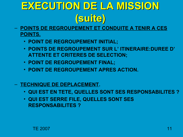- **POINTS DE REGROUPEMENT ET CONDUITE A TENIR A CES POINTS.**
	- **POINT DE REGROUPEMENT INITIAL;**
	- **POINTS DE REGROUPEMENT SUR L' ITINERAIRE:DUREE D' ATTENTE ET CRITERES DE SELECTION;**
	- **POINT DE REGROUPEMENT FINAL;**
	- **POINT DE REGROUPEMENT APRES ACTION.**
- **TECHNIQUE DE DEPLACEMENT.**
	- **QUI EST EN TETE, QUELLES SONT SES RESPONSABILITES ?**
	- **QUI EST SERRE FILE, QUELLES SONT SES RESPONSABILITES ?**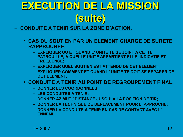- **CONDUITE A TENIR SUR LA ZONE D'ACTION.**
	- **CAS DU SOUTIEN PAR UN ELEMENT CHARGE DE SURETE RAPPROCHEE.**
		- **EXPLIQUER OU ET QUAND L' UNITE TE SE JOINT A CETTE PATROUILLE, A QUELLE UNITE APPARTIENT ELLE, INDICATIF ET FREQUENCE;**
		- **EXPLIQUER QUEL SOUTIEN EST ATTENDU DE CET ELEMENT;**
		- **EXPLIQUER COMMENT ET QUAND L' UNITE TE DOIT SE SEPARER DE CET ELEMENT.**
	- **CONDUITE A TENIR AU POINT DE REGROUPEMENT FINAL.**
		- **DONNER LES COORDONNEES;**
		- **LES CONDUITES A TENIR;**
		- **DONNER AZIMUT / DISTANCE JUSQU' A LA POSITION DE TIR;**
		- **DONNER LA TECHNIQUE DE DEPLACEMENT POUR L' APPROCHE;**
		- **DONNER LA CONDUITE A TENIR EN CAS DE CONTACT AVEC L' ENNEMI.**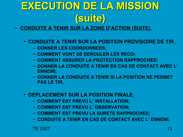- **CONDUITE A TENIR SUR LA ZONE D'ACTION (SUITE).**
	- **CONDUITE A TENIR SUR LA POSITION PROVISOIRE DE TIR.**
		- **DONNER LES COORDONNEES;**
		- **COMMENT VONT SE DEROULER LES RECO;**
		- **COMMENT ASSURER LA PROTECTION RAPPROCHEE;**
		- **DONNER LA CONDUITE A TENIR EN CAS DE CONTACT AVEC L' ENNEMI;**
		- **DONNER LA CONDUITE A TENIR SI LA POSITION NE PERMET PAS LE TIR.**
	- **DEPLACEMENT SUR LA POSITION FINALE.**
		- **COMMENT EST PREVU L' INSTALLATION;**
		- **COMMENT EST PREVU L' OBSERVATION;**
		- **COMMENT EST PREVU LA SURETE RAPPROCHEE;**
		- **CONDUITE A TENIR EN CAS DE CONTACT AVEC L' ENNEMI.**

TE 2007  $\blacksquare$  13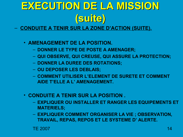- **CONDUITE A TENIR SUR LA ZONE D'ACTION (SUITE).**
	- **AMENAGEMENT DE LA POSITION.**
		- **DONNER LE TYPE DE POSTE A AMENAGER;**
		- **QUI OBSERVE, QUI CREUSE, QUI ASSURE LA PROTECTION;**
		- **DONNER LA DUREE DES ROTATIONS;**
		- **OU DEPOSER LES DEBLAIS;**
		- **COMMENT UTILISER L'ELEMENT DE SURETE ET COMMENT AIDE T'ELLE A L' AMENAGEMENT.**
	- **CONDUITE A TENIR SUR LA POSITION .**
		- **EXPLIQUER OU INSTALLER ET RANGER LES EQUIPEMENTS ET MATERIELS;**
		- **EXPLIQUER COMMENT ORGANISER LA VIE ; OBSERVATION, TRAVAIL, REPAS, REPOS ET LE SYSTEME D' ALERTE.**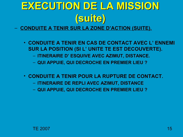- **CONDUITE A TENIR SUR LA ZONE D'ACTION (SUITE).**
	- **CONDUITE A TENIR EN CAS DE CONTACT AVEC L' ENNEMI SUR LA POSITION (SI L' UNITE TE EST DECOUVERTE).**
		- **ITINERAIRE D' ESQUIVE AVEC AZIMUT, DISTANCE.**
		- **QUI APPUIE, QUI DECROCHE EN PREMIER LIEU ?**
	- **CONDUITE A TENIR POUR LA RUPTURE DE CONTACT.** – **ITINERAIRE DE REPLI AVEC AZIMUT, DISTANCE** – **QUI APPUIE, QUI DECROCHE EN PREMIER LIEU ?**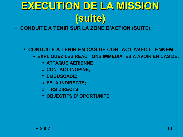#### – **CONDUITE A TENIR SUR LA ZONE D'ACTION (SUITE).**

#### • **CONDUITE A TENIR EN CAS DE CONTACT AVEC L' ENNEMI.**

- **EXPLIQUEZ LES REACTIONS IMMEDIATES A AVOIR EN CAS DE:**
	- » **ATTAQUE AERIENNE;**
	- » **CONTACT INOPINE;**
	- » **EMBUSCADE;**
	- » **FEUX INDIRECTS;**
	- » **TIRS DIRECTS;**
	- » **OBJECTIFS D' OPORTUNITE.**

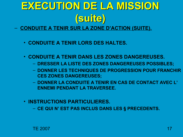- **CONDUITE A TENIR SUR LA ZONE D'ACTION (SUITE).**
	- **CONDUITE A TENIR LORS DES HALTES.**
	- **CONDUITE A TENIR DANS LES ZONES DANGEREUSES.**
		- **DRESSER LA LISTE DES ZONES DANGEREUSES POSSIBLES;**
		- **DONNER LES TECHNIQUES DE PROGRESSION POUR FRANCHIR CES ZONES DANGEREUSES;**
		- **DONNER LA CONDUITE A TENIR EN CAS DE CONTACT AVEC L' ENNEMI PENDANT LA TRAVERSEE.**
	- **INSTRUCTIONS PARTICULIERES.**
		- **CE QUI N' EST PAS INCLUS DANS LES § PRECEDENTS.**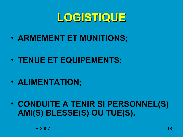### **LOGISTIQUE**

- **ARMEMENT ET MUNITIONS;**
- **TENUE ET EQUIPEMENTS;**
- **ALIMENTATION;**
- **CONDUITE A TENIR SI PERSONNEL(S) AMI(S) BLESSE(S) OU TUE(S).**